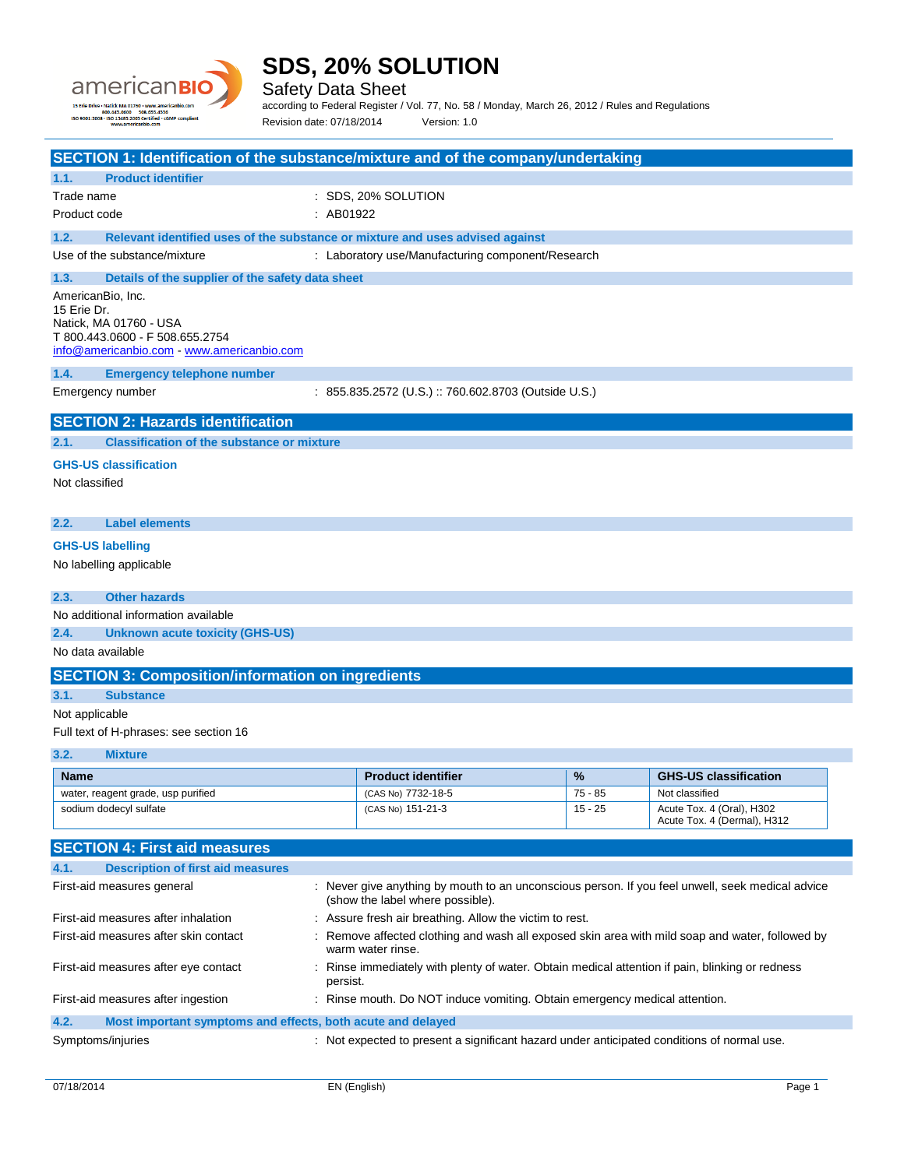

Safety Data Sheet

according to Federal Register / Vol. 77, No. 58 / Monday, March 26, 2012 / Rules and Regulations Revision date: 07/18/2014 Version: 1.0

| SECTION 1: Identification of the substance/mixture and of the company/undertaking                                                         |           |                                                                                                  |           |                                                          |
|-------------------------------------------------------------------------------------------------------------------------------------------|-----------|--------------------------------------------------------------------------------------------------|-----------|----------------------------------------------------------|
| <b>Product identifier</b><br>1.1.                                                                                                         |           |                                                                                                  |           |                                                          |
| Trade name                                                                                                                                |           | : SDS, 20% SOLUTION                                                                              |           |                                                          |
| Product code                                                                                                                              | : AB01922 |                                                                                                  |           |                                                          |
| 1.2.<br>Relevant identified uses of the substance or mixture and uses advised against                                                     |           |                                                                                                  |           |                                                          |
| Use of the substance/mixture                                                                                                              |           | : Laboratory use/Manufacturing component/Research                                                |           |                                                          |
| 1.3.<br>Details of the supplier of the safety data sheet                                                                                  |           |                                                                                                  |           |                                                          |
| AmericanBio, Inc.<br>15 Erie Dr.<br>Natick, MA 01760 - USA<br>T 800.443.0600 - F 508.655.2754<br>info@americanbio.com www.americanbio.com |           |                                                                                                  |           |                                                          |
| 1.4.<br><b>Emergency telephone number</b>                                                                                                 |           |                                                                                                  |           |                                                          |
| Emergency number                                                                                                                          |           | : 855.835.2572 (U.S.) :: 760.602.8703 (Outside U.S.)                                             |           |                                                          |
| <b>SECTION 2: Hazards identification</b>                                                                                                  |           |                                                                                                  |           |                                                          |
| <b>Classification of the substance or mixture</b><br>2.1.                                                                                 |           |                                                                                                  |           |                                                          |
| <b>GHS-US classification</b>                                                                                                              |           |                                                                                                  |           |                                                          |
| Not classified                                                                                                                            |           |                                                                                                  |           |                                                          |
|                                                                                                                                           |           |                                                                                                  |           |                                                          |
| <b>Label elements</b><br>2.2.                                                                                                             |           |                                                                                                  |           |                                                          |
| <b>GHS-US labelling</b>                                                                                                                   |           |                                                                                                  |           |                                                          |
| No labelling applicable                                                                                                                   |           |                                                                                                  |           |                                                          |
|                                                                                                                                           |           |                                                                                                  |           |                                                          |
| 2.3.<br><b>Other hazards</b>                                                                                                              |           |                                                                                                  |           |                                                          |
| No additional information available                                                                                                       |           |                                                                                                  |           |                                                          |
| 2.4.<br><b>Unknown acute toxicity (GHS-US)</b>                                                                                            |           |                                                                                                  |           |                                                          |
| No data available                                                                                                                         |           |                                                                                                  |           |                                                          |
| <b>SECTION 3: Composition/information on ingredients</b>                                                                                  |           |                                                                                                  |           |                                                          |
| 3.1.<br><b>Substance</b>                                                                                                                  |           |                                                                                                  |           |                                                          |
| Not applicable                                                                                                                            |           |                                                                                                  |           |                                                          |
| Full text of H-phrases: see section 16                                                                                                    |           |                                                                                                  |           |                                                          |
| 3.2.<br><b>Mixture</b>                                                                                                                    |           |                                                                                                  |           |                                                          |
| <b>Name</b>                                                                                                                               |           | <b>Product identifier</b>                                                                        | %         | <b>GHS-US classification</b>                             |
| water, reagent grade, usp purified                                                                                                        |           | (CAS No) 7732-18-5                                                                               | $75 - 85$ | Not classified                                           |
| sodium dodecyl sulfate                                                                                                                    |           | (CAS No) 151-21-3                                                                                | $15 - 25$ | Acute Tox. 4 (Oral), H302<br>Acute Tox. 4 (Dermal), H312 |
|                                                                                                                                           |           |                                                                                                  |           |                                                          |
| <b>SECTION 4: First aid measures</b>                                                                                                      |           |                                                                                                  |           |                                                          |
| 4.1.<br><b>Description of first aid measures</b>                                                                                          |           |                                                                                                  |           |                                                          |
| First-aid measures general                                                                                                                |           | : Never give anything by mouth to an unconscious person. If you feel unwell, seek medical advice |           |                                                          |
| First-aid measures after inhalation                                                                                                       |           | (show the label where possible).<br>: Assure fresh air breathing. Allow the victim to rest.      |           |                                                          |
| First-aid measures after skin contact                                                                                                     |           | : Remove affected clothing and wash all exposed skin area with mild soap and water, followed by  |           |                                                          |
|                                                                                                                                           |           | warm water rinse.                                                                                |           |                                                          |
| First-aid measures after eye contact                                                                                                      | persist.  | : Rinse immediately with plenty of water. Obtain medical attention if pain, blinking or redness  |           |                                                          |
| First-aid measures after ingestion                                                                                                        |           | : Rinse mouth. Do NOT induce vomiting. Obtain emergency medical attention.                       |           |                                                          |
| 4.2.<br>Most important symptoms and effects, both acute and delayed                                                                       |           |                                                                                                  |           |                                                          |
| Symptoms/injuries                                                                                                                         |           | : Not expected to present a significant hazard under anticipated conditions of normal use.       |           |                                                          |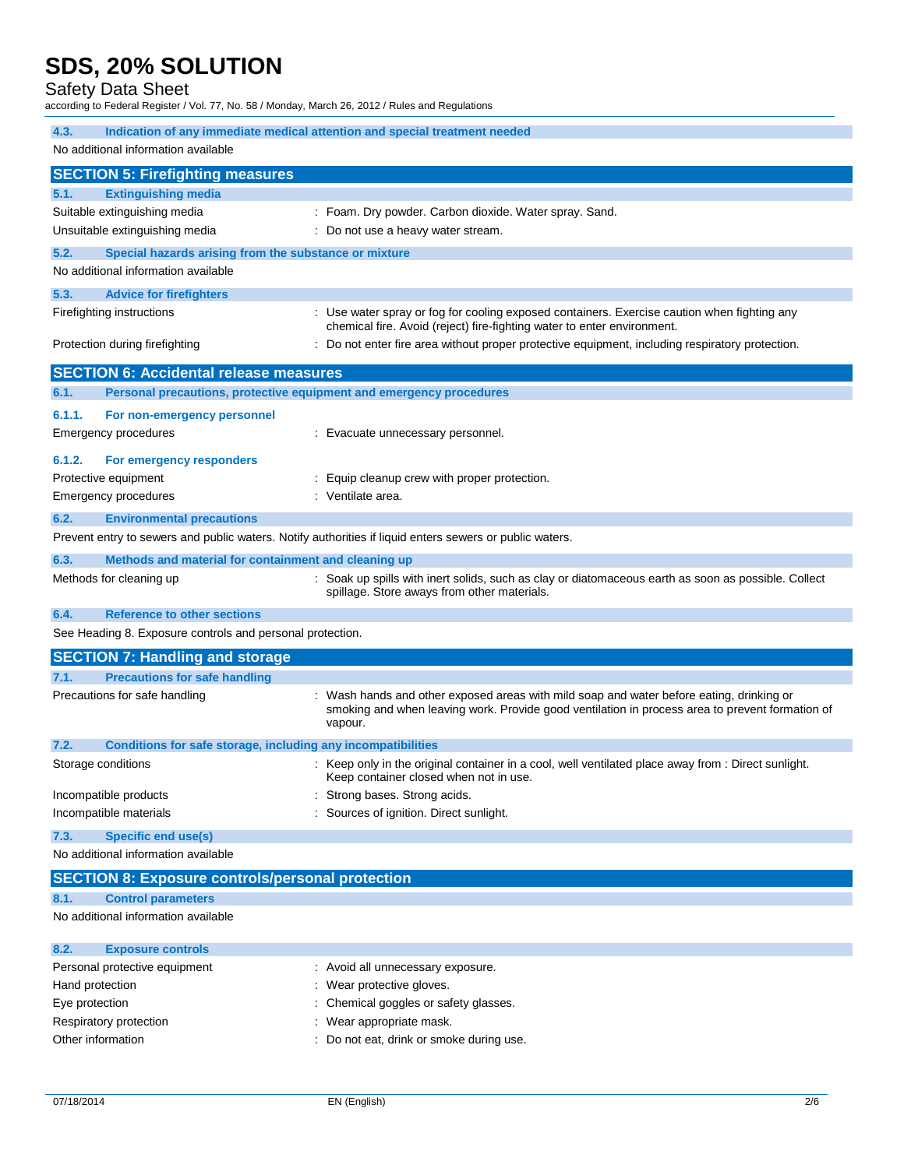## Safety Data Sheet

according to Federal Register / Vol. 77, No. 58 / Monday, March 26, 2012 / Rules and Regulations

| 4.3.                                                                                                              |                                                                     |                                                                                                                                                                                                      |
|-------------------------------------------------------------------------------------------------------------------|---------------------------------------------------------------------|------------------------------------------------------------------------------------------------------------------------------------------------------------------------------------------------------|
| Indication of any immediate medical attention and special treatment needed<br>No additional information available |                                                                     |                                                                                                                                                                                                      |
|                                                                                                                   | <b>SECTION 5: Firefighting measures</b>                             |                                                                                                                                                                                                      |
| 5.1.                                                                                                              | <b>Extinguishing media</b>                                          |                                                                                                                                                                                                      |
|                                                                                                                   | Suitable extinguishing media                                        | : Foam. Dry powder. Carbon dioxide. Water spray. Sand.                                                                                                                                               |
|                                                                                                                   | Unsuitable extinguishing media                                      | : Do not use a heavy water stream.                                                                                                                                                                   |
| 5.2.                                                                                                              | Special hazards arising from the substance or mixture               |                                                                                                                                                                                                      |
|                                                                                                                   | No additional information available                                 |                                                                                                                                                                                                      |
| 5.3.                                                                                                              | <b>Advice for firefighters</b>                                      |                                                                                                                                                                                                      |
|                                                                                                                   | Firefighting instructions                                           | : Use water spray or fog for cooling exposed containers. Exercise caution when fighting any<br>chemical fire. Avoid (reject) fire-fighting water to enter environment.                               |
|                                                                                                                   | Protection during firefighting                                      | : Do not enter fire area without proper protective equipment, including respiratory protection.                                                                                                      |
|                                                                                                                   | <b>SECTION 6: Accidental release measures</b>                       |                                                                                                                                                                                                      |
| 6.1.                                                                                                              | Personal precautions, protective equipment and emergency procedures |                                                                                                                                                                                                      |
| 6.1.1.                                                                                                            | For non-emergency personnel                                         |                                                                                                                                                                                                      |
|                                                                                                                   | <b>Emergency procedures</b>                                         | : Evacuate unnecessary personnel.                                                                                                                                                                    |
| 6.1.2.                                                                                                            | For emergency responders                                            |                                                                                                                                                                                                      |
|                                                                                                                   | Protective equipment                                                | Equip cleanup crew with proper protection.                                                                                                                                                           |
|                                                                                                                   | <b>Emergency procedures</b>                                         | : Ventilate area.                                                                                                                                                                                    |
| 6.2.                                                                                                              | <b>Environmental precautions</b>                                    |                                                                                                                                                                                                      |
|                                                                                                                   |                                                                     | Prevent entry to sewers and public waters. Notify authorities if liquid enters sewers or public waters.                                                                                              |
| 6.3.                                                                                                              | Methods and material for containment and cleaning up                |                                                                                                                                                                                                      |
|                                                                                                                   | Methods for cleaning up                                             | : Soak up spills with inert solids, such as clay or diatomaceous earth as soon as possible. Collect<br>spillage. Store aways from other materials.                                                   |
| 6.4.                                                                                                              | <b>Reference to other sections</b>                                  |                                                                                                                                                                                                      |
|                                                                                                                   | See Heading 8. Exposure controls and personal protection.           |                                                                                                                                                                                                      |
|                                                                                                                   | <b>SECTION 7: Handling and storage</b>                              |                                                                                                                                                                                                      |
| 7.1.                                                                                                              | <b>Precautions for safe handling</b>                                |                                                                                                                                                                                                      |
|                                                                                                                   | Precautions for safe handling                                       | Wash hands and other exposed areas with mild soap and water before eating, drinking or<br>smoking and when leaving work. Provide good ventilation in process area to prevent formation of<br>vapour. |
| 7.2.                                                                                                              | Conditions for safe storage, including any incompatibilities        |                                                                                                                                                                                                      |
|                                                                                                                   | Storage conditions                                                  | : Keep only in the original container in a cool, well ventilated place away from : Direct sunlight.<br>Keep container closed when not in use.                                                        |
|                                                                                                                   | Incompatible products                                               | Strong bases. Strong acids.                                                                                                                                                                          |
|                                                                                                                   | Incompatible materials                                              | : Sources of ignition. Direct sunlight.                                                                                                                                                              |
| 7.3.                                                                                                              | <b>Specific end use(s)</b>                                          |                                                                                                                                                                                                      |
|                                                                                                                   | No additional information available                                 |                                                                                                                                                                                                      |
|                                                                                                                   | <b>SECTION 8: Exposure controls/personal protection</b>             |                                                                                                                                                                                                      |
| 8.1.                                                                                                              | <b>Control parameters</b>                                           |                                                                                                                                                                                                      |
|                                                                                                                   | No additional information available                                 |                                                                                                                                                                                                      |
| 8.2.                                                                                                              | <b>Exposure controls</b>                                            |                                                                                                                                                                                                      |

| Personal protective equipment | : Avoid all unnecessary exposure.        |
|-------------------------------|------------------------------------------|
| Hand protection               | : Wear protective gloves.                |
| Eye protection                | : Chemical goggles or safety glasses.    |
| Respiratory protection        | : Wear appropriate mask.                 |
| Other information             | : Do not eat, drink or smoke during use. |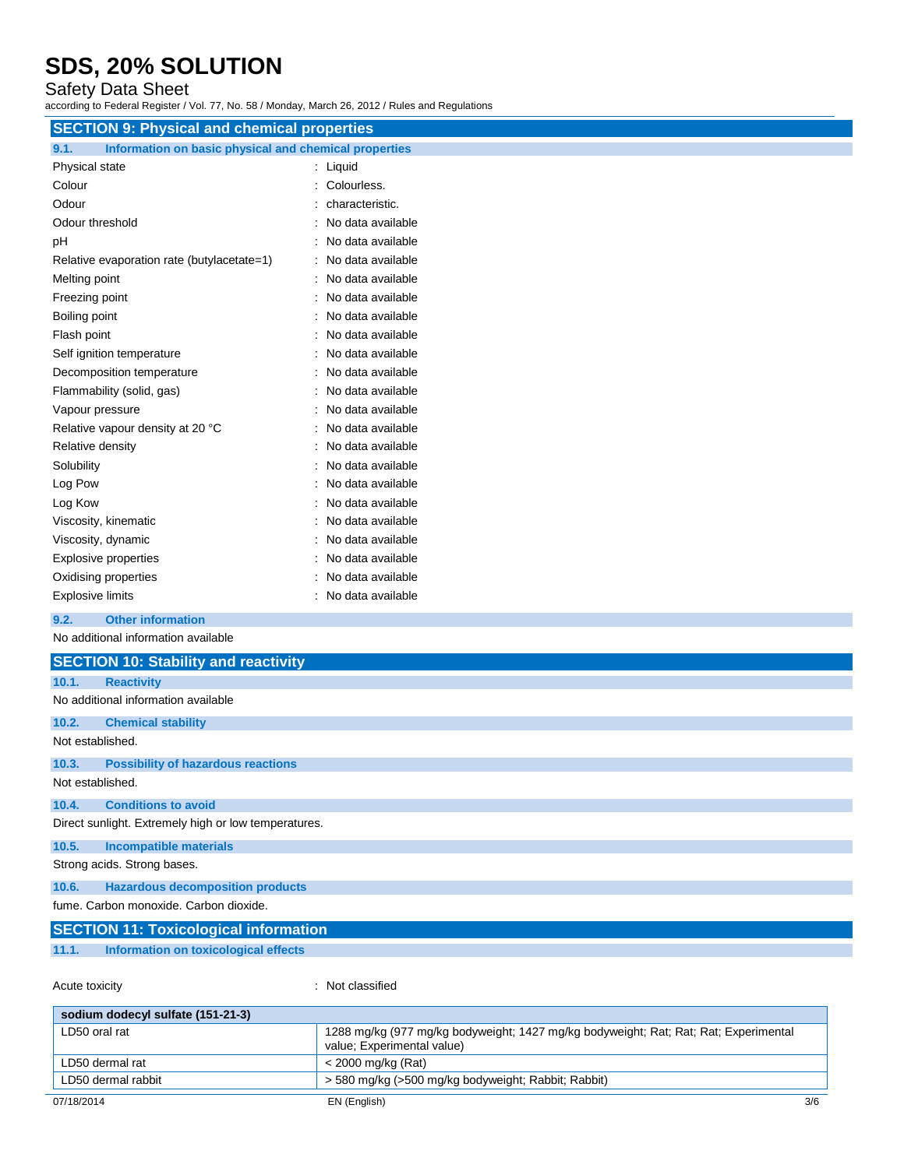## Safety Data Sheet

according to Federal Register / Vol. 77, No. 58 / Monday, March 26, 2012 / Rules and Regulations

| <b>SECTION 9: Physical and chemical properties</b>            |                   |
|---------------------------------------------------------------|-------------------|
| 9.1.<br>Information on basic physical and chemical properties |                   |
| Physical state                                                | : Liquid          |
| Colour                                                        | : Colourless.     |
| Odour                                                         | characteristic.   |
| Odour threshold                                               | No data available |
| pH                                                            | No data available |
| Relative evaporation rate (butylacetate=1)                    | No data available |
| Melting point                                                 | No data available |
| Freezing point                                                | No data available |
| Boiling point                                                 | No data available |
| Flash point                                                   | No data available |
| Self ignition temperature                                     | No data available |
| Decomposition temperature                                     | No data available |
| Flammability (solid, gas)                                     | No data available |
| Vapour pressure                                               | No data available |
| Relative vapour density at 20 °C                              | No data available |
| Relative density                                              | No data available |
| Solubility                                                    | No data available |
| Log Pow                                                       | No data available |
| Log Kow                                                       | No data available |
| Viscosity, kinematic                                          | No data available |
| Viscosity, dynamic                                            | No data available |
| <b>Explosive properties</b>                                   | No data available |
| Oxidising properties                                          | No data available |
| <b>Explosive limits</b>                                       | No data available |
| <b>Other information</b><br>9.2.                              |                   |
| No additional information available                           |                   |
| <b>SECTION 10: Stability and reactivity</b>                   |                   |
| 10.1.<br><b>Reactivity</b>                                    |                   |
| No additional information available                           |                   |

Not established. **10.3. Possibility of hazardous reactions**

**10.2. Chemical stability**

Not established.

**10.4. Conditions to avoid**

Direct sunlight. Extremely high or low temperatures.

**10.5. Incompatible materials** Strong acids. Strong bases.

**10.6. Hazardous decomposition products**

fume. Carbon monoxide. Carbon dioxide.

|       | <b>SECTION 11: Toxicological information</b> |  |
|-------|----------------------------------------------|--|
| 11.1. | Information on toxicological effects         |  |

Acute toxicity **in the case of the Case of the Case of the Case of the Case of the Case of the Case of the Case of the Case of the Case of the Case of the Case of the Case of the Case of the Case of the Case of the Case of** 

| sodium dodecyl sulfate (151-21-3) |                                                                                                                    |
|-----------------------------------|--------------------------------------------------------------------------------------------------------------------|
| LD50 oral rat                     | 1288 mg/kg (977 mg/kg bodyweight; 1427 mg/kg bodyweight; Rat; Rat; Rat; Experimental<br>value; Experimental value) |
| LD50 dermal rat                   | < 2000 mg/kg (Rat)                                                                                                 |
| LD50 dermal rabbit                | > 580 mg/kg (>500 mg/kg bodyweight; Rabbit; Rabbit)                                                                |
| 07/18/2014                        | 3/6<br>EN (English)                                                                                                |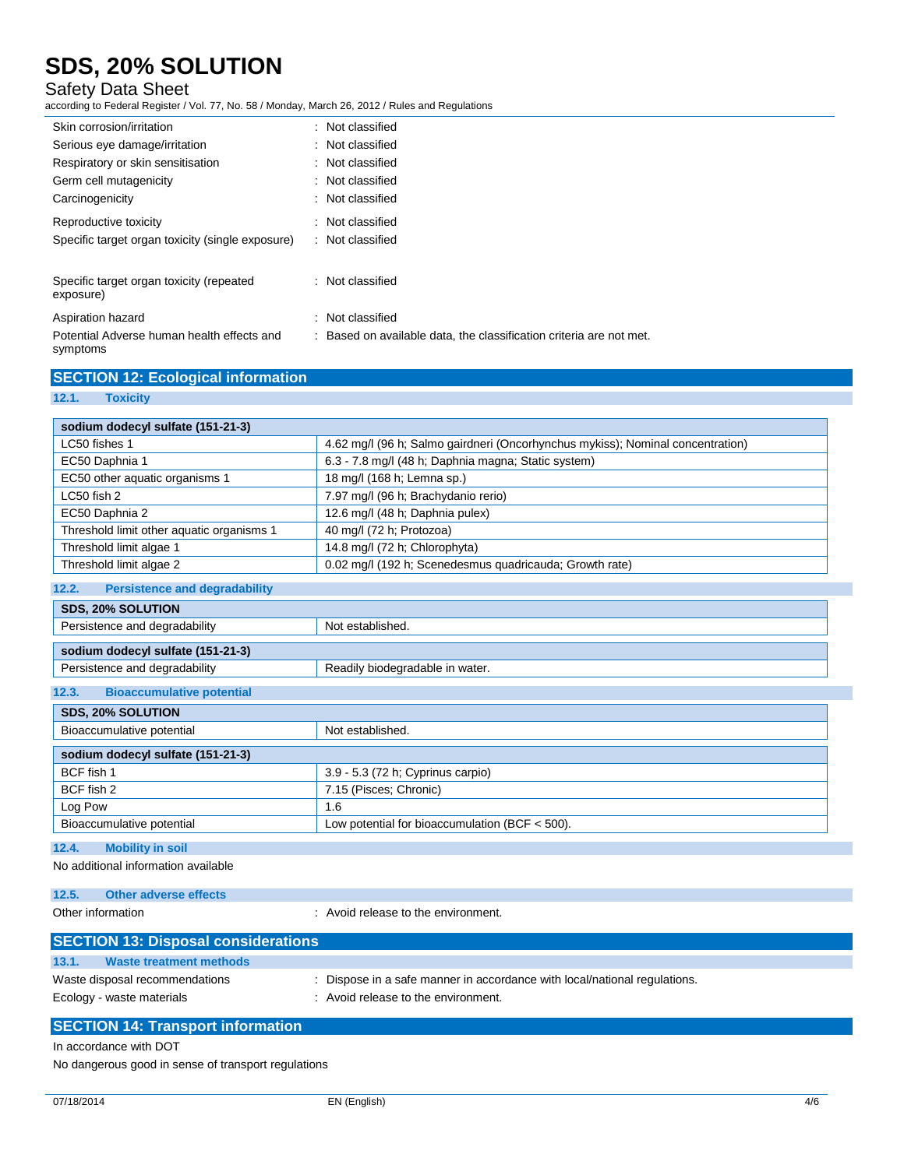## Safety Data Sheet

according to Federal Register / Vol. 77, No. 58 / Monday, March 26, 2012 / Rules and Regulations

| Skin corrosion/irritation                              | : Not classified                                                    |
|--------------------------------------------------------|---------------------------------------------------------------------|
| Serious eye damage/irritation                          | : Not classified                                                    |
| Respiratory or skin sensitisation                      | : Not classified                                                    |
| Germ cell mutagenicity                                 | : Not classified                                                    |
| Carcinogenicity                                        | : Not classified                                                    |
| Reproductive toxicity                                  | : Not classified                                                    |
| Specific target organ toxicity (single exposure)       | : Not classified                                                    |
| Specific target organ toxicity (repeated<br>exposure)  | . Not classified                                                    |
| Aspiration hazard                                      | Not classified                                                      |
| Potential Adverse human health effects and<br>symptoms | : Based on available data, the classification criteria are not met. |

| <b>SECTION 12: Ecological information</b> |  |
|-------------------------------------------|--|
|                                           |  |

### **12.1. Toxicity**

| sodium dodecyl sulfate (151-21-3)             |                                                                                |
|-----------------------------------------------|--------------------------------------------------------------------------------|
| LC50 fishes 1                                 | 4.62 mg/l (96 h; Salmo gairdneri (Oncorhynchus mykiss); Nominal concentration) |
| EC50 Daphnia 1                                | 6.3 - 7.8 mg/l (48 h; Daphnia magna; Static system)                            |
| EC50 other aquatic organisms 1                | 18 mg/l (168 h; Lemna sp.)                                                     |
| LC50 fish 2                                   | 7.97 mg/l (96 h; Brachydanio rerio)                                            |
| EC50 Daphnia 2                                | 12.6 mg/l (48 h; Daphnia pulex)                                                |
| Threshold limit other aquatic organisms 1     | 40 mg/l (72 h; Protozoa)                                                       |
| Threshold limit algae 1                       | 14.8 mg/l (72 h; Chlorophyta)                                                  |
| Threshold limit algae 2                       | 0.02 mg/l (192 h; Scenedesmus quadricauda; Growth rate)                        |
| <b>Persistence and degradability</b><br>12.2. |                                                                                |
| <b>SDS, 20% SOLUTION</b>                      |                                                                                |
| Persistence and degradability                 | Not established.                                                               |
| sodium dodecyl sulfate (151-21-3)             |                                                                                |
| Persistence and degradability                 | Readily biodegradable in water.                                                |
| <b>Bioaccumulative potential</b><br>12.3.     |                                                                                |
| <b>SDS, 20% SOLUTION</b>                      |                                                                                |

| Bioaccumulative potential         | Not established.                                 |
|-----------------------------------|--------------------------------------------------|
| sodium dodecyl sulfate (151-21-3) |                                                  |
| BCF fish 1                        | 3.9 - 5.3 (72 h; Cyprinus carpio)                |
| BCF fish 2                        | 7.15 (Pisces; Chronic)                           |
| Log Pow                           | 1.6                                              |
| Bioaccumulative potential         | Low potential for bioaccumulation (BCF $<$ 500). |

### **12.4. Mobility in soil**

No additional information available

```
12.5. Other adverse effects
```
Other information **COLOGY COLOGY COLOGY COLOGY COLOGY COLOGY COLOGY COLOGY COLOGY COLOGY COLOGY COLOGY COLOGY COLOGY COLOGY COLOGY COLOGY COLOGY COLOGY COLOGY COLOGY COLOGY COLOG** 

| <b>SECTION 13: Disposal considerations</b> |                                                                           |
|--------------------------------------------|---------------------------------------------------------------------------|
| 13.1.<br>Waste treatment methods           |                                                                           |
| Waste disposal recommendations             | : Dispose in a safe manner in accordance with local/national regulations. |
| Ecology - waste materials                  | : Avoid release to the environment.                                       |
|                                            |                                                                           |

## **SECTION 14: Transport information**

In accordance with DOT

No dangerous good in sense of transport regulations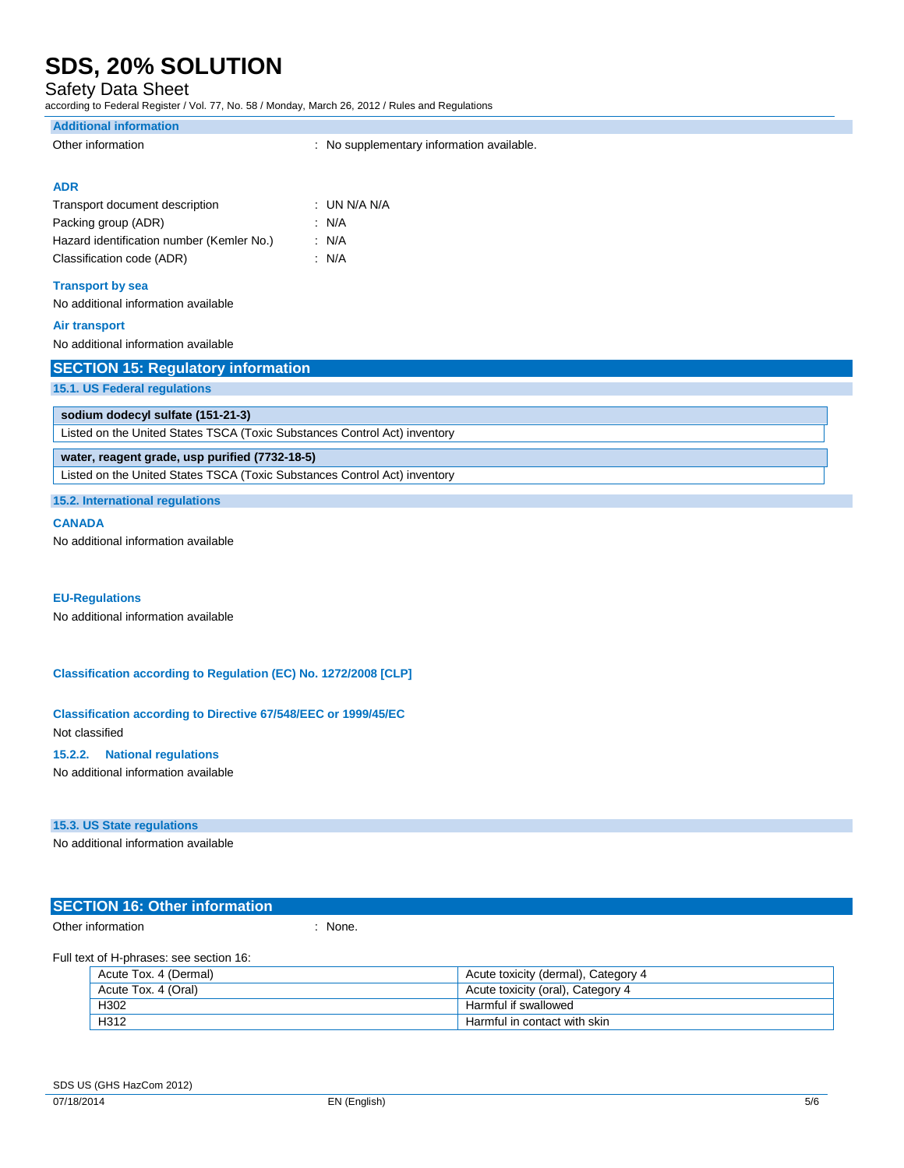Safety Data Sheet

according to Federal Register / Vol. 77, No. 58 / Monday, March 26, 2012 / Rules and Regulations

| <b>Additional information</b>                                             |                                           |
|---------------------------------------------------------------------------|-------------------------------------------|
| Other information                                                         | : No supplementary information available. |
|                                                                           |                                           |
| <b>ADR</b>                                                                |                                           |
| Transport document description                                            | : UN N/A N/A                              |
| Packing group (ADR)                                                       | : N/A                                     |
| Hazard identification number (Kemler No.)                                 | : N/A                                     |
| Classification code (ADR)                                                 | : N/A                                     |
| <b>Transport by sea</b>                                                   |                                           |
| No additional information available                                       |                                           |
| <b>Air transport</b>                                                      |                                           |
| No additional information available                                       |                                           |
| <b>SECTION 15: Regulatory information</b>                                 |                                           |
| 15.1. US Federal regulations                                              |                                           |
| sodium dodecyl sulfate (151-21-3)                                         |                                           |
| Listed on the United States TSCA (Toxic Substances Control Act) inventory |                                           |
| water, reagent grade, usp purified (7732-18-5)                            |                                           |
| Listed on the United States TSCA (Toxic Substances Control Act) inventory |                                           |
|                                                                           |                                           |

**15.2. International regulations**

### **CANADA**

No additional information available

### **EU-Regulations**

No additional information available

**Classification according to Regulation (EC) No. 1272/2008 [CLP]**

**Classification according to Directive 67/548/EEC or 1999/45/EC** Not classified

### **15.2.2. National regulations**

No additional information available

### **15.3. US State regulations**

No additional information available

| <b>SECTION 16: Other information</b> |       |  |
|--------------------------------------|-------|--|
| Other information                    | None. |  |

### Full text of H-phrases: see section 16:

| Acute Tox. 4 (Dermal) | Acute toxicity (dermal), Category 4 |
|-----------------------|-------------------------------------|
| Acute Tox. 4 (Oral)   | Acute toxicity (oral), Category 4   |
| H302                  | Harmful if swallowed                |
| H312                  | Harmful in contact with skin        |